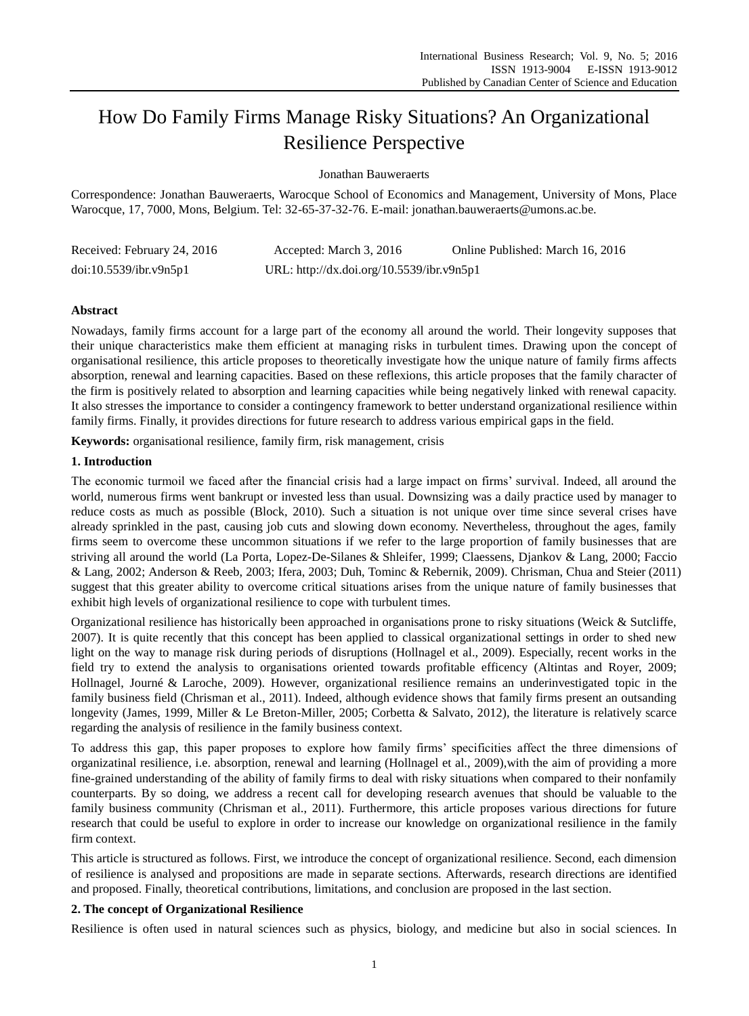# How Do Family Firms Manage Risky Situations? An Organizational Resilience Perspective

Jonathan Bauweraerts

Correspondence: Jonathan Bauweraerts, Warocque School of Economics and Management, University of Mons, Place Warocque, 17, 7000, Mons, Belgium. Tel: 32-65-37-32-76. E-mail: jonathan.bauweraerts@umons.ac.be.

| Received: February 24, 2016 | Accepted: March 3, 2016                   | Online Published: March 16, 2016 |
|-----------------------------|-------------------------------------------|----------------------------------|
| doi:10.5539/ibr.v9n5p1      | URL: http://dx.doi.org/10.5539/ibr.v9n5p1 |                                  |

# **Abstract**

Nowadays, family firms account for a large part of the economy all around the world. Their longevity supposes that their unique characteristics make them efficient at managing risks in turbulent times. Drawing upon the concept of organisational resilience, this article proposes to theoretically investigate how the unique nature of family firms affects absorption, renewal and learning capacities. Based on these reflexions, this article proposes that the family character of the firm is positively related to absorption and learning capacities while being negatively linked with renewal capacity. It also stresses the importance to consider a contingency framework to better understand organizational resilience within family firms. Finally, it provides directions for future research to address various empirical gaps in the field.

**Keywords:** organisational resilience, family firm, risk management, crisis

# **1. Introduction**

The economic turmoil we faced after the financial crisis had a large impact on firms' survival. Indeed, all around the world, numerous firms went bankrupt or invested less than usual. Downsizing was a daily practice used by manager to reduce costs as much as possible (Block, 2010). Such a situation is not unique over time since several crises have already sprinkled in the past, causing job cuts and slowing down economy. Nevertheless, throughout the ages, family firms seem to overcome these uncommon situations if we refer to the large proportion of family businesses that are striving all around the world (La Porta, Lopez-De-Silanes & Shleifer, 1999; Claessens, Djankov & Lang, 2000; Faccio & Lang, 2002; Anderson & Reeb, 2003; Ifera, 2003; Duh, Tominc & Rebernik, 2009). Chrisman, Chua and Steier (2011) suggest that this greater ability to overcome critical situations arises from the unique nature of family businesses that exhibit high levels of organizational resilience to cope with turbulent times.

Organizational resilience has historically been approached in organisations prone to risky situations (Weick & Sutcliffe, 2007). It is quite recently that this concept has been applied to classical organizational settings in order to shed new light on the way to manage risk during periods of disruptions (Hollnagel et al., 2009). Especially, recent works in the field try to extend the analysis to organisations oriented towards profitable efficency (Altintas and Royer, 2009; Hollnagel, Journé & Laroche, 2009). However, organizational resilience remains an underinvestigated topic in the family business field (Chrisman et al., 2011). Indeed, although evidence shows that family firms present an outsanding longevity (James, 1999, Miller & Le Breton-Miller, 2005; Corbetta & Salvato, 2012), the literature is relatively scarce regarding the analysis of resilience in the family business context.

To address this gap, this paper proposes to explore how family firms' specificities affect the three dimensions of organizatinal resilience, i.e. absorption, renewal and learning (Hollnagel et al., 2009),with the aim of providing a more fine-grained understanding of the ability of family firms to deal with risky situations when compared to their nonfamily counterparts. By so doing, we address a recent call for developing research avenues that should be valuable to the family business community (Chrisman et al., 2011). Furthermore, this article proposes various directions for future research that could be useful to explore in order to increase our knowledge on organizational resilience in the family firm context.

This article is structured as follows. First, we introduce the concept of organizational resilience. Second, each dimension of resilience is analysed and propositions are made in separate sections. Afterwards, research directions are identified and proposed. Finally, theoretical contributions, limitations, and conclusion are proposed in the last section.

## **2. The concept of Organizational Resilience**

Resilience is often used in natural sciences such as physics, biology, and medicine but also in social sciences. In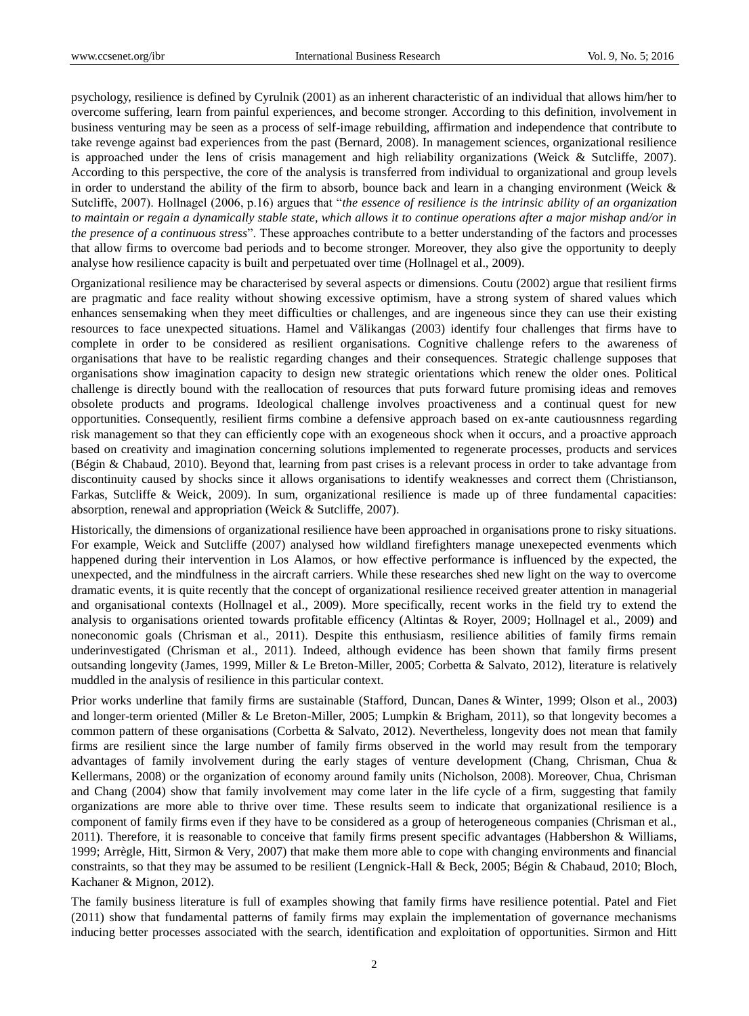psychology, resilience is defined by Cyrulnik (2001) as an inherent characteristic of an individual that allows him/her to overcome suffering, learn from painful experiences, and become stronger. According to this definition, involvement in business venturing may be seen as a process of self-image rebuilding, affirmation and independence that contribute to take revenge against bad experiences from the past (Bernard, 2008). In management sciences, organizational resilience is approached under the lens of crisis management and high reliability organizations (Weick & Sutcliffe, 2007). According to this perspective, the core of the analysis is transferred from individual to organizational and group levels in order to understand the ability of the firm to absorb, bounce back and learn in a changing environment (Weick & Sutcliffe, 2007). Hollnagel (2006, p.16) argues that "*the essence of resilience is the intrinsic ability of an organization to maintain or regain a dynamically stable state, which allows it to continue operations after a major mishap and/or in the presence of a continuous stress*". These approaches contribute to a better understanding of the factors and processes that allow firms to overcome bad periods and to become stronger. Moreover, they also give the opportunity to deeply analyse how resilience capacity is built and perpetuated over time (Hollnagel et al., 2009).

Organizational resilience may be characterised by several aspects or dimensions. Coutu (2002) argue that resilient firms are pragmatic and face reality without showing excessive optimism, have a strong system of shared values which enhances sensemaking when they meet difficulties or challenges, and are ingeneous since they can use their existing resources to face unexpected situations. Hamel and Välikangas (2003) identify four challenges that firms have to complete in order to be considered as resilient organisations. Cognitive challenge refers to the awareness of organisations that have to be realistic regarding changes and their consequences. Strategic challenge supposes that organisations show imagination capacity to design new strategic orientations which renew the older ones. Political challenge is directly bound with the reallocation of resources that puts forward future promising ideas and removes obsolete products and programs. Ideological challenge involves proactiveness and a continual quest for new opportunities. Consequently, resilient firms combine a defensive approach based on ex-ante cautiousnness regarding risk management so that they can efficiently cope with an exogeneous shock when it occurs, and a proactive approach based on creativity and imagination concerning solutions implemented to regenerate processes, products and services (Bégin & Chabaud, 2010). Beyond that, learning from past crises is a relevant process in order to take advantage from discontinuity caused by shocks since it allows organisations to identify weaknesses and correct them (Christianson, Farkas, Sutcliffe & Weick, 2009). In sum, organizational resilience is made up of three fundamental capacities: absorption, renewal and appropriation (Weick & Sutcliffe, 2007).

Historically, the dimensions of organizational resilience have been approached in organisations prone to risky situations. For example, Weick and Sutcliffe (2007) analysed how wildland firefighters manage unexepected evenments which happened during their intervention in Los Alamos, or how effective performance is influenced by the expected, the unexpected, and the mindfulness in the aircraft carriers. While these researches shed new light on the way to overcome dramatic events, it is quite recently that the concept of organizational resilience received greater attention in managerial and organisational contexts (Hollnagel et al., 2009). More specifically, recent works in the field try to extend the analysis to organisations oriented towards profitable efficency (Altintas & Royer, 2009; Hollnagel et al., 2009) and noneconomic goals (Chrisman et al., 2011). Despite this enthusiasm, resilience abilities of family firms remain underinvestigated (Chrisman et al., 2011). Indeed, although evidence has been shown that family firms present outsanding longevity (James, 1999, Miller & Le Breton-Miller, 2005; Corbetta & Salvato, 2012), literature is relatively muddled in the analysis of resilience in this particular context.

Prior works underline that family firms are sustainable (Stafford, Duncan, Danes & Winter, 1999; Olson et al., 2003) and longer-term oriented (Miller & Le Breton-Miller, 2005; Lumpkin & Brigham, 2011), so that longevity becomes a common pattern of these organisations (Corbetta & Salvato, 2012). Nevertheless, longevity does not mean that family firms are resilient since the large number of family firms observed in the world may result from the temporary advantages of family involvement during the early stages of venture development (Chang, Chrisman, Chua & Kellermans, 2008) or the organization of economy around family units (Nicholson, 2008). Moreover, Chua, Chrisman and Chang (2004) show that family involvement may come later in the life cycle of a firm, suggesting that family organizations are more able to thrive over time. These results seem to indicate that organizational resilience is a component of family firms even if they have to be considered as a group of heterogeneous companies (Chrisman et al., 2011). Therefore, it is reasonable to conceive that family firms present specific advantages (Habbershon & Williams, 1999; Arrègle, Hitt, Sirmon & Very, 2007) that make them more able to cope with changing environments and financial constraints, so that they may be assumed to be resilient (Lengnick-Hall & Beck, 2005; Bégin & Chabaud, 2010; Bloch, Kachaner & Mignon, 2012).

The family business literature is full of examples showing that family firms have resilience potential. Patel and Fiet (2011) show that fundamental patterns of family firms may explain the implementation of governance mechanisms inducing better processes associated with the search, identification and exploitation of opportunities. Sirmon and Hitt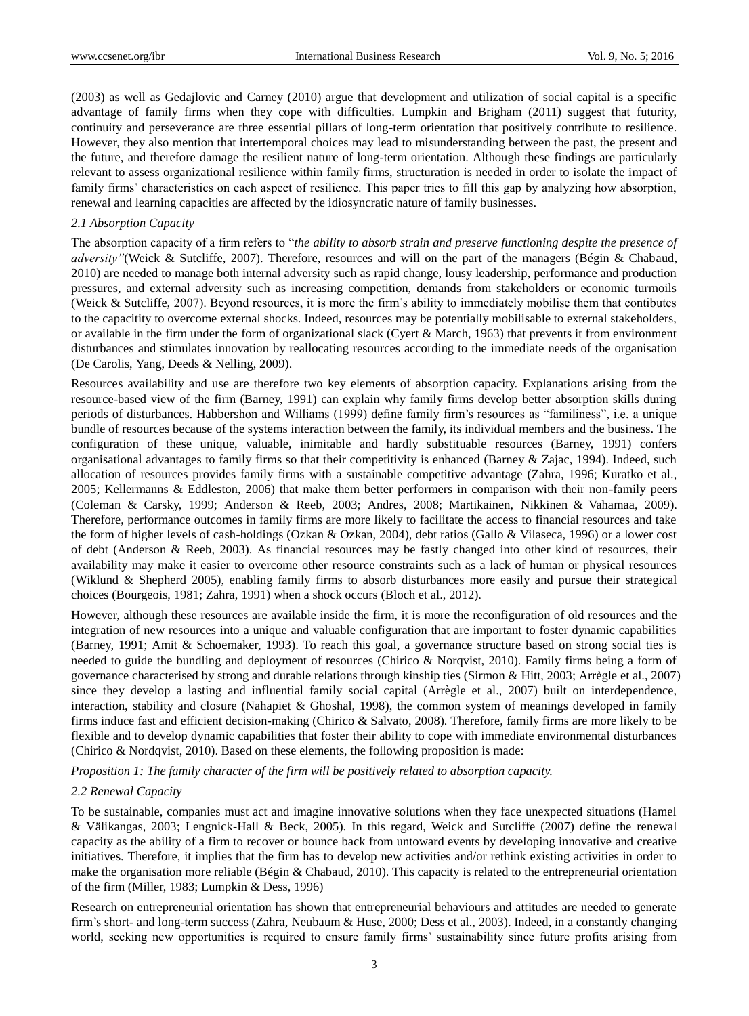(2003) as well as Gedajlovic and Carney (2010) argue that development and utilization of social capital is a specific advantage of family firms when they cope with difficulties. Lumpkin and Brigham (2011) suggest that futurity, continuity and perseverance are three essential pillars of long-term orientation that positively contribute to resilience. However, they also mention that intertemporal choices may lead to misunderstanding between the past, the present and the future, and therefore damage the resilient nature of long-term orientation. Although these findings are particularly relevant to assess organizational resilience within family firms, structuration is needed in order to isolate the impact of family firms' characteristics on each aspect of resilience. This paper tries to fill this gap by analyzing how absorption, renewal and learning capacities are affected by the idiosyncratic nature of family businesses.

### *2.1 Absorption Capacity*

The absorption capacity of a firm refers to "*the ability to absorb strain and preserve functioning despite the presence of adversity"*(Weick & Sutcliffe, 2007). Therefore, resources and will on the part of the managers (Bégin & Chabaud, 2010) are needed to manage both internal adversity such as rapid change, lousy leadership, performance and production pressures, and external adversity such as increasing competition, demands from stakeholders or economic turmoils (Weick & Sutcliffe, 2007). Beyond resources, it is more the firm's ability to immediately mobilise them that contibutes to the capacitity to overcome external shocks. Indeed, resources may be potentially mobilisable to external stakeholders, or available in the firm under the form of organizational slack (Cyert & March, 1963) that prevents it from environment disturbances and stimulates innovation by reallocating resources according to the immediate needs of the organisation (De Carolis, Yang, Deeds & Nelling, 2009).

Resources availability and use are therefore two key elements of absorption capacity. Explanations arising from the resource-based view of the firm (Barney, 1991) can explain why family firms develop better absorption skills during periods of disturbances. Habbershon and Williams (1999) define family firm's resources as "familiness", i.e. a unique bundle of resources because of the systems interaction between the family, its individual members and the business. The configuration of these unique, valuable, inimitable and hardly substituable resources (Barney, 1991) confers organisational advantages to family firms so that their competitivity is enhanced (Barney  $\&$  Zajac, 1994). Indeed, such allocation of resources provides family firms with a sustainable competitive advantage (Zahra, 1996; Kuratko et al., 2005; Kellermanns & Eddleston, 2006) that make them better performers in comparison with their non-family peers (Coleman & Carsky, 1999; Anderson & Reeb, 2003; Andres, 2008; Martikainen, Nikkinen & Vahamaa, 2009). Therefore, performance outcomes in family firms are more likely to facilitate the access to financial resources and take the form of higher levels of cash-holdings (Ozkan & Ozkan, 2004), debt ratios (Gallo & Vilaseca, 1996) or a lower cost of debt (Anderson & Reeb, 2003). As financial resources may be fastly changed into other kind of resources, their availability may make it easier to overcome other resource constraints such as a lack of human or physical resources (Wiklund & Shepherd 2005), enabling family firms to absorb disturbances more easily and pursue their strategical choices (Bourgeois, 1981; Zahra, 1991) when a shock occurs (Bloch et al., 2012).

However, although these resources are available inside the firm, it is more the reconfiguration of old resources and the integration of new resources into a unique and valuable configuration that are important to foster dynamic capabilities (Barney, 1991; Amit & Schoemaker, 1993). To reach this goal, a governance structure based on strong social ties is needed to guide the bundling and deployment of resources (Chirico & Norqvist, 2010). Family firms being a form of governance characterised by strong and durable relations through kinship ties (Sirmon & Hitt, 2003; Arrègle et al., 2007) since they develop a lasting and influential family social capital (Arrègle et al., 2007) built on interdependence, interaction, stability and closure (Nahapiet & Ghoshal, 1998), the common system of meanings developed in family firms induce fast and efficient decision-making (Chirico & Salvato, 2008). Therefore, family firms are more likely to be flexible and to develop dynamic capabilities that foster their ability to cope with immediate environmental disturbances (Chirico & Nordqvist, 2010). Based on these elements, the following proposition is made:

*Proposition 1: The family character of the firm will be positively related to absorption capacity.*

#### *2.2 Renewal Capacity*

To be sustainable, companies must act and imagine innovative solutions when they face unexpected situations (Hamel & Välikangas, 2003; Lengnick-Hall & Beck, 2005). In this regard, Weick and Sutcliffe (2007) define the renewal capacity as the ability of a firm to recover or bounce back from untoward events by developing innovative and creative initiatives. Therefore, it implies that the firm has to develop new activities and/or rethink existing activities in order to make the organisation more reliable (B  $\sin \alpha$  Chabaud, 2010). This capacity is related to the entrepreneurial orientation of the firm (Miller, 1983; Lumpkin & Dess, 1996)

Research on entrepreneurial orientation has shown that entrepreneurial behaviours and attitudes are needed to generate firm's short- and long-term success (Zahra, Neubaum & Huse, 2000; Dess et al., 2003). Indeed, in a constantly changing world, seeking new opportunities is required to ensure family firms' sustainability since future profits arising from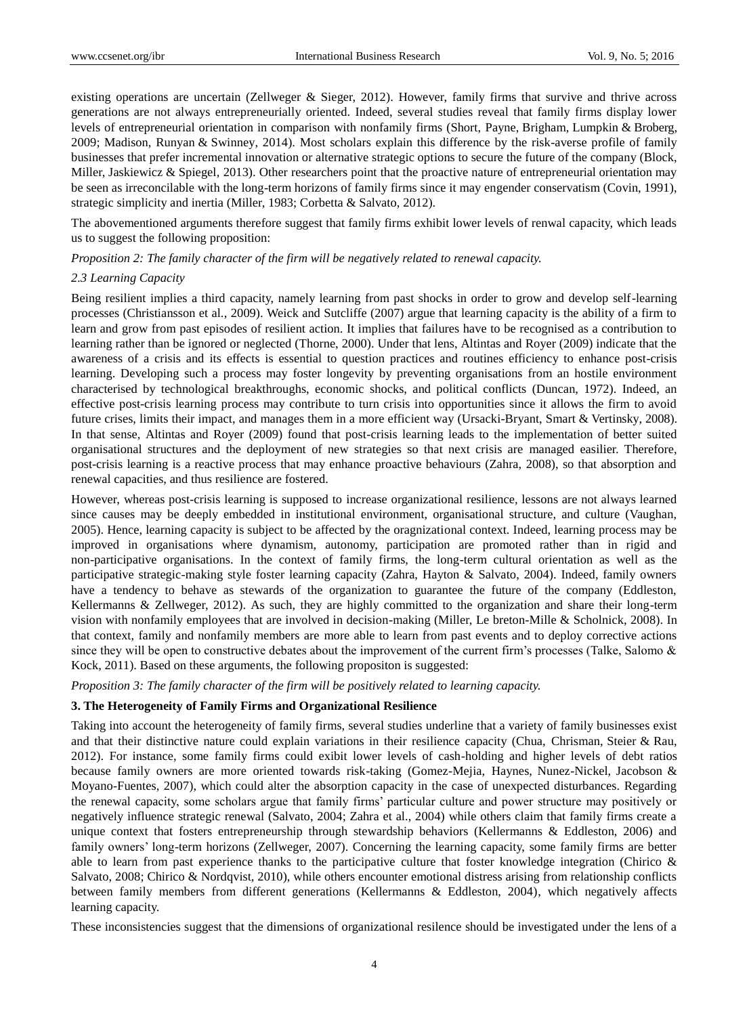existing operations are uncertain (Zellweger & Sieger, 2012). However, family firms that survive and thrive across generations are not always entrepreneurially oriented. Indeed, several studies reveal that family firms display lower levels of entrepreneurial orientation in comparison with nonfamily firms (Short, Payne, Brigham, Lumpkin & Broberg, 2009; Madison, Runyan & Swinney, 2014). Most scholars explain this difference by the risk-averse profile of family businesses that prefer incremental innovation or alternative strategic options to secure the future of the company (Block, Miller, Jaskiewicz & Spiegel, 2013). Other researchers point that the proactive nature of entrepreneurial orientation may be seen as irreconcilable with the long-term horizons of family firms since it may engender conservatism (Covin, 1991), strategic simplicity and inertia (Miller, 1983; Corbetta & Salvato, 2012).

The abovementioned arguments therefore suggest that family firms exhibit lower levels of renwal capacity, which leads us to suggest the following proposition:

*Proposition 2: The family character of the firm will be negatively related to renewal capacity.*

#### *2.3 Learning Capacity*

Being resilient implies a third capacity, namely learning from past shocks in order to grow and develop self-learning processes (Christiansson et al., 2009). Weick and Sutcliffe (2007) argue that learning capacity is the ability of a firm to learn and grow from past episodes of resilient action. It implies that failures have to be recognised as a contribution to learning rather than be ignored or neglected (Thorne, 2000). Under that lens, Altintas and Royer (2009) indicate that the awareness of a crisis and its effects is essential to question practices and routines efficiency to enhance post-crisis learning. Developing such a process may foster longevity by preventing organisations from an hostile environment characterised by technological breakthroughs, economic shocks, and political conflicts (Duncan, 1972). Indeed, an effective post-crisis learning process may contribute to turn crisis into opportunities since it allows the firm to avoid future crises, limits their impact, and manages them in a more efficient way (Ursacki-Bryant, Smart & Vertinsky, 2008). In that sense, Altintas and Royer (2009) found that post-crisis learning leads to the implementation of better suited organisational structures and the deployment of new strategies so that next crisis are managed easilier. Therefore, post-crisis learning is a reactive process that may enhance proactive behaviours (Zahra, 2008), so that absorption and renewal capacities, and thus resilience are fostered.

However, whereas post-crisis learning is supposed to increase organizational resilience, lessons are not always learned since causes may be deeply embedded in institutional environment, organisational structure, and culture (Vaughan, 2005). Hence, learning capacity is subject to be affected by the oragnizational context. Indeed, learning process may be improved in organisations where dynamism, autonomy, participation are promoted rather than in rigid and non-participative organisations. In the context of family firms, the long-term cultural orientation as well as the participative strategic-making style foster learning capacity (Zahra, Hayton & Salvato, 2004). Indeed, family owners have a tendency to behave as stewards of the organization to guarantee the future of the company (Eddleston, Kellermanns & Zellweger, 2012). As such, they are highly committed to the organization and share their long-term vision with nonfamily employees that are involved in decision-making (Miller, Le breton-Mille & Scholnick, 2008). In that context, family and nonfamily members are more able to learn from past events and to deploy corrective actions since they will be open to constructive debates about the improvement of the current firm's processes (Talke, Salomo & Kock, 2011). Based on these arguments, the following propositon is suggested:

*Proposition 3: The family character of the firm will be positively related to learning capacity.*

## **3. The Heterogeneity of Family Firms and Organizational Resilience**

Taking into account the heterogeneity of family firms, several studies underline that a variety of family businesses exist and that their distinctive nature could explain variations in their resilience capacity (Chua, Chrisman, Steier & Rau, 2012). For instance, some family firms could exibit lower levels of cash-holding and higher levels of debt ratios because family owners are more oriented towards risk-taking (Gomez-Mejia, Haynes, Nunez-Nickel, Jacobson & Moyano-Fuentes, 2007), which could alter the absorption capacity in the case of unexpected disturbances. Regarding the renewal capacity, some scholars argue that family firms' particular culture and power structure may positively or negatively influence strategic renewal (Salvato, 2004; Zahra et al., 2004) while others claim that family firms create a unique context that fosters entrepreneurship through stewardship behaviors (Kellermanns & Eddleston, 2006) and family owners' long-term horizons (Zellweger, 2007). Concerning the learning capacity, some family firms are better able to learn from past experience thanks to the participative culture that foster knowledge integration (Chirico & Salvato, 2008; Chirico & Nordqvist, 2010), while others encounter emotional distress arising from relationship conflicts between family members from different generations (Kellermanns & Eddleston, 2004), which negatively affects learning capacity.

These inconsistencies suggest that the dimensions of organizational resilence should be investigated under the lens of a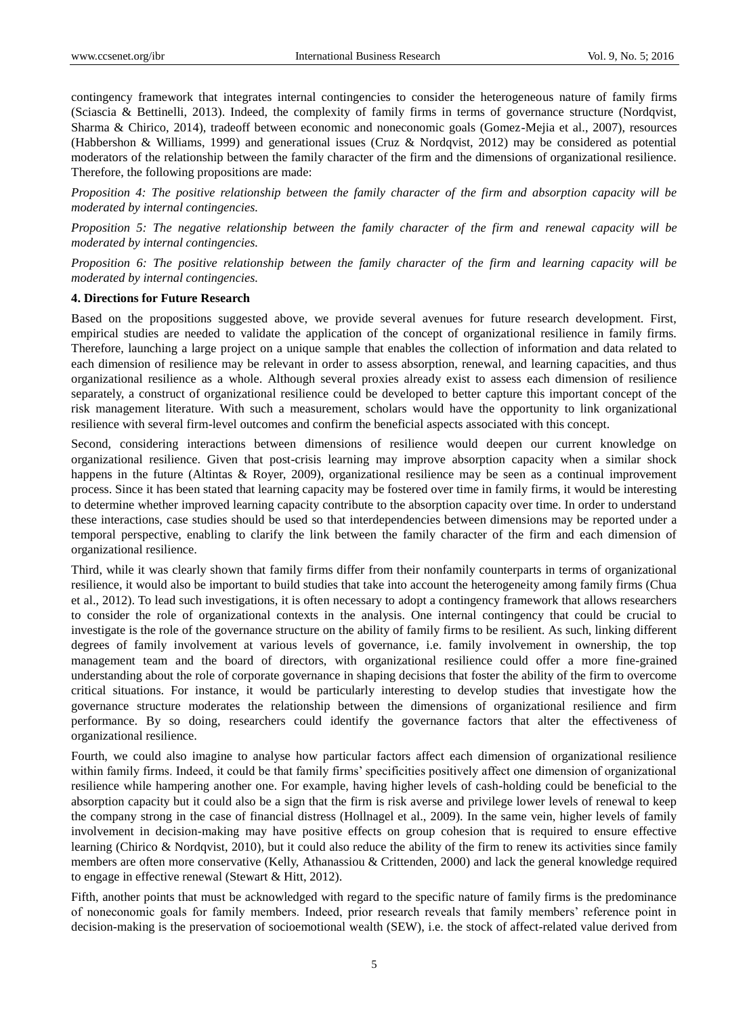contingency framework that integrates internal contingencies to consider the heterogeneous nature of family firms (Sciascia & Bettinelli, 2013). Indeed, the complexity of family firms in terms of governance structure (Nordqvist, Sharma & Chirico, 2014), tradeoff between economic and noneconomic goals (Gomez-Mejia et al., 2007), resources (Habbershon & Williams, 1999) and generational issues (Cruz & Nordqvist, 2012) may be considered as potential moderators of the relationship between the family character of the firm and the dimensions of organizational resilience. Therefore, the following propositions are made:

*Proposition 4: The positive relationship between the family character of the firm and absorption capacity will be moderated by internal contingencies.*

*Proposition 5: The negative relationship between the family character of the firm and renewal capacity will be moderated by internal contingencies.*

*Proposition 6: The positive relationship between the family character of the firm and learning capacity will be moderated by internal contingencies.*

#### **4. Directions for Future Research**

Based on the propositions suggested above, we provide several avenues for future research development. First, empirical studies are needed to validate the application of the concept of organizational resilience in family firms. Therefore, launching a large project on a unique sample that enables the collection of information and data related to each dimension of resilience may be relevant in order to assess absorption, renewal, and learning capacities, and thus organizational resilience as a whole. Although several proxies already exist to assess each dimension of resilience separately, a construct of organizational resilience could be developed to better capture this important concept of the risk management literature. With such a measurement, scholars would have the opportunity to link organizational resilience with several firm-level outcomes and confirm the beneficial aspects associated with this concept.

Second, considering interactions between dimensions of resilience would deepen our current knowledge on organizational resilience. Given that post-crisis learning may improve absorption capacity when a similar shock happens in the future (Altintas & Royer, 2009), organizational resilience may be seen as a continual improvement process. Since it has been stated that learning capacity may be fostered over time in family firms, it would be interesting to determine whether improved learning capacity contribute to the absorption capacity over time. In order to understand these interactions, case studies should be used so that interdependencies between dimensions may be reported under a temporal perspective, enabling to clarify the link between the family character of the firm and each dimension of organizational resilience.

Third, while it was clearly shown that family firms differ from their nonfamily counterparts in terms of organizational resilience, it would also be important to build studies that take into account the heterogeneity among family firms (Chua et al., 2012). To lead such investigations, it is often necessary to adopt a contingency framework that allows researchers to consider the role of organizational contexts in the analysis. One internal contingency that could be crucial to investigate is the role of the governance structure on the ability of family firms to be resilient. As such, linking different degrees of family involvement at various levels of governance, i.e. family involvement in ownership, the top management team and the board of directors, with organizational resilience could offer a more fine-grained understanding about the role of corporate governance in shaping decisions that foster the ability of the firm to overcome critical situations. For instance, it would be particularly interesting to develop studies that investigate how the governance structure moderates the relationship between the dimensions of organizational resilience and firm performance. By so doing, researchers could identify the governance factors that alter the effectiveness of organizational resilience.

Fourth, we could also imagine to analyse how particular factors affect each dimension of organizational resilience within family firms. Indeed, it could be that family firms' specificities positively affect one dimension of organizational resilience while hampering another one. For example, having higher levels of cash-holding could be beneficial to the absorption capacity but it could also be a sign that the firm is risk averse and privilege lower levels of renewal to keep the company strong in the case of financial distress (Hollnagel et al., 2009). In the same vein, higher levels of family involvement in decision-making may have positive effects on group cohesion that is required to ensure effective learning (Chirico & Nordqvist, 2010), but it could also reduce the ability of the firm to renew its activities since family members are often more conservative (Kelly, Athanassiou & Crittenden, 2000) and lack the general knowledge required to engage in effective renewal (Stewart & Hitt, 2012).

Fifth, another points that must be acknowledged with regard to the specific nature of family firms is the predominance of noneconomic goals for family members. Indeed, prior research reveals that family members' reference point in decision-making is the preservation of socioemotional wealth (SEW), i.e. the stock of affect-related value derived from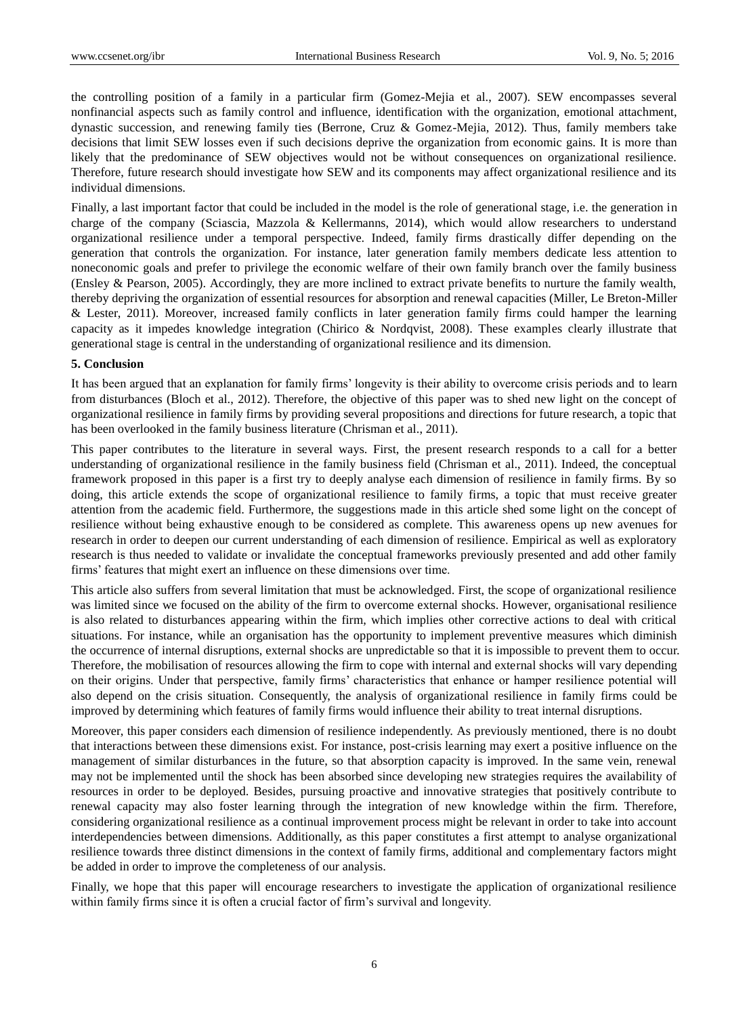the controlling position of a family in a particular firm (Gomez-Mejia et al., 2007). SEW encompasses several nonfinancial aspects such as family control and influence, identification with the organization, emotional attachment, dynastic succession, and renewing family ties (Berrone, Cruz & Gomez-Mejia, 2012). Thus, family members take decisions that limit SEW losses even if such decisions deprive the organization from economic gains. It is more than likely that the predominance of SEW objectives would not be without consequences on organizational resilience. Therefore, future research should investigate how SEW and its components may affect organizational resilience and its individual dimensions.

Finally, a last important factor that could be included in the model is the role of generational stage, i.e. the generation in charge of the company (Sciascia, Mazzola & Kellermanns, 2014), which would allow researchers to understand organizational resilience under a temporal perspective. Indeed, family firms drastically differ depending on the generation that controls the organization. For instance, later generation family members dedicate less attention to noneconomic goals and prefer to privilege the economic welfare of their own family branch over the family business (Ensley & Pearson, 2005). Accordingly, they are more inclined to extract private benefits to nurture the family wealth, thereby depriving the organization of essential resources for absorption and renewal capacities (Miller, Le Breton-Miller & Lester, 2011). Moreover, increased family conflicts in later generation family firms could hamper the learning capacity as it impedes knowledge integration (Chirico & Nordqvist, 2008). These examples clearly illustrate that generational stage is central in the understanding of organizational resilience and its dimension.

# **5. Conclusion**

It has been argued that an explanation for family firms' longevity is their ability to overcome crisis periods and to learn from disturbances (Bloch et al., 2012). Therefore, the objective of this paper was to shed new light on the concept of organizational resilience in family firms by providing several propositions and directions for future research, a topic that has been overlooked in the family business literature (Chrisman et al., 2011).

This paper contributes to the literature in several ways. First, the present research responds to a call for a better understanding of organizational resilience in the family business field (Chrisman et al., 2011). Indeed, the conceptual framework proposed in this paper is a first try to deeply analyse each dimension of resilience in family firms. By so doing, this article extends the scope of organizational resilience to family firms, a topic that must receive greater attention from the academic field. Furthermore, the suggestions made in this article shed some light on the concept of resilience without being exhaustive enough to be considered as complete. This awareness opens up new avenues for research in order to deepen our current understanding of each dimension of resilience. Empirical as well as exploratory research is thus needed to validate or invalidate the conceptual frameworks previously presented and add other family firms' features that might exert an influence on these dimensions over time.

This article also suffers from several limitation that must be acknowledged. First, the scope of organizational resilience was limited since we focused on the ability of the firm to overcome external shocks. However, organisational resilience is also related to disturbances appearing within the firm, which implies other corrective actions to deal with critical situations. For instance, while an organisation has the opportunity to implement preventive measures which diminish the occurrence of internal disruptions, external shocks are unpredictable so that it is impossible to prevent them to occur. Therefore, the mobilisation of resources allowing the firm to cope with internal and external shocks will vary depending on their origins. Under that perspective, family firms' characteristics that enhance or hamper resilience potential will also depend on the crisis situation. Consequently, the analysis of organizational resilience in family firms could be improved by determining which features of family firms would influence their ability to treat internal disruptions.

Moreover, this paper considers each dimension of resilience independently. As previously mentioned, there is no doubt that interactions between these dimensions exist. For instance, post-crisis learning may exert a positive influence on the management of similar disturbances in the future, so that absorption capacity is improved. In the same vein, renewal may not be implemented until the shock has been absorbed since developing new strategies requires the availability of resources in order to be deployed. Besides, pursuing proactive and innovative strategies that positively contribute to renewal capacity may also foster learning through the integration of new knowledge within the firm. Therefore, considering organizational resilience as a continual improvement process might be relevant in order to take into account interdependencies between dimensions. Additionally, as this paper constitutes a first attempt to analyse organizational resilience towards three distinct dimensions in the context of family firms, additional and complementary factors might be added in order to improve the completeness of our analysis.

Finally, we hope that this paper will encourage researchers to investigate the application of organizational resilience within family firms since it is often a crucial factor of firm's survival and longevity.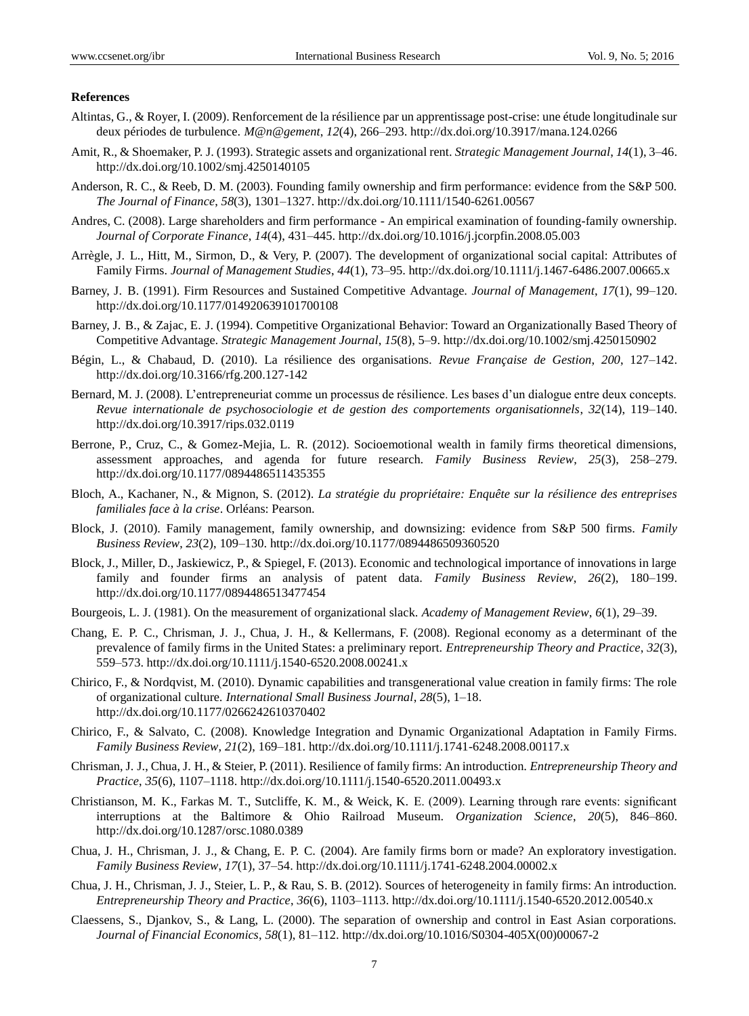#### **References**

- Altintas, G., & Royer, I. (2009). Renforcement de la résilience par un apprentissage post-crise: une étude longitudinale sur deux périodes de turbulence. *M@n@gement*, *12*(4), 266–293. http://dx.doi.org/10.3917/mana.124.0266
- Amit, R., & Shoemaker, P. J. (1993). Strategic assets and organizational rent. *Strategic Management Journal*, *14*(1), 3–46. http://dx.doi.org/10.1002/smj.4250140105
- Anderson, R. C., & Reeb, D. M. (2003). Founding family ownership and firm performance: evidence from the S&P 500. *The Journal of Finance*, *58*(3), 1301–1327. http://dx.doi.org/10.1111/1540-6261.00567
- Andres, C. (2008). Large shareholders and firm performance An empirical examination of founding-family ownership. *Journal of Corporate Finance*, *14*(4), 431–445. http://dx.doi.org/10.1016/j.jcorpfin.2008.05.003
- Arrègle, J. L., Hitt, M., Sirmon, D., & Very, P. (2007). The development of organizational social capital: Attributes of Family Firms. *Journal of Management Studies*, *44*(1), 73–95. http://dx.doi.org/10.1111/j.1467-6486.2007.00665.x
- Barney, J. B. (1991). Firm Resources and Sustained Competitive Advantage. *Journal of Management*, *17*(1), 99–120. http://dx.doi.org/10.1177/014920639101700108
- Barney, J. B., & Zajac, E. J. (1994). Competitive Organizational Behavior: Toward an Organizationally Based Theory of Competitive Advantage*. Strategic Management Journal*, *15*(8), 5–9. http://dx.doi.org/10.1002/smj.4250150902
- Bégin, L., & Chabaud, D. (2010). La résilience des organisations*. Revue Française de Gestion*, *200*, 127–142. http://dx.doi.org/10.3166/rfg.200.127-142
- Bernard, M. J. (2008). L'entrepreneuriat comme un processus de résilience. Les bases d'un dialogue entre deux concepts. *Revue internationale de psychosociologie et de gestion des comportements organisationnels*, *32*(14), 119–140. http://dx.doi.org/10.3917/rips.032.0119
- Berrone, P., Cruz, C., & Gomez-Mejia, L. R. (2012). Socioemotional wealth in family firms theoretical dimensions, assessment approaches, and agenda for future research*. Family Business Review*, *25*(3), 258–279. http://dx.doi.org/10.1177/0894486511435355
- Bloch, A., Kachaner, N., & Mignon, S. (2012). *La stratégie du propriétaire: Enquête sur la résilience des entreprises familiales face à la crise*. Orléans: Pearson.
- Block, J. (2010). Family management, family ownership, and downsizing: evidence from S&P 500 firms. *Family Business Review*, *23*(2), 109–130. http://dx.doi.org/10.1177/0894486509360520
- Block, J., Miller, D., Jaskiewicz, P., & Spiegel, F. (2013). Economic and technological importance of innovations in large family and founder firms an analysis of patent data. *Family Business Review*, *26*(2), 180–199. http://dx.doi.org/10.1177/0894486513477454
- Bourgeois, L. J. (1981). On the measurement of organizational slack. *Academy of Management Review*, *6*(1), 29–39.
- Chang, E. P. C., Chrisman, J. J., Chua, J. H., & Kellermans, F. (2008). Regional economy as a determinant of the prevalence of family firms in the United States: a preliminary report. *Entrepreneurship Theory and Practice*, *32*(3), 559–573. http://dx.doi.org/10.1111/j.1540-6520.2008.00241.x
- Chirico, F., & Nordqvist, M. (2010). Dynamic capabilities and transgenerational value creation in family firms: The role of organizational culture*. International Small Business Journal*, *28*(5), 1–18. http://dx.doi.org/10.1177/0266242610370402
- Chirico, F., & Salvato, C. (2008). Knowledge Integration and Dynamic Organizational Adaptation in Family Firms. *Family Business Review*, *21*(2), 169–181. http://dx.doi.org/10.1111/j.1741-6248.2008.00117.x
- Chrisman, J. J., Chua, J. H., & Steier, P. (2011). Resilience of family firms: An introduction. *Entrepreneurship Theory and Practice*, *35*(6), 1107–1118. http://dx.doi.org/10.1111/j.1540-6520.2011.00493.x
- Christianson, M. K., Farkas M. T., Sutcliffe, K. M., & Weick, K. E. (2009). Learning through rare events: significant interruptions at the Baltimore & Ohio Railroad Museum. *Organization Science*, *20*(5), 846–860. http://dx.doi.org/10.1287/orsc.1080.0389
- Chua, J. H., Chrisman, J. J., & Chang, E. P. C. (2004). Are family firms born or made? An exploratory investigation. *Family Business Review*, *17*(1), 37–54. http://dx.doi.org/10.1111/j.1741-6248.2004.00002.x
- Chua, J. H., Chrisman, J. J., Steier, L. P., & Rau, S. B. (2012). Sources of heterogeneity in family firms: An introduction. *Entrepreneurship Theory and Practice*, *36*(6), 1103–1113. http://dx.doi.org/10.1111/j.1540-6520.2012.00540.x
- Claessens, S., Djankov, S., & Lang, L. (2000). The separation of ownership and control in East Asian corporations. *Journal of Financial Economics*, *58*(1), 81–112. http://dx.doi.org/10.1016/S0304-405X(00)00067-2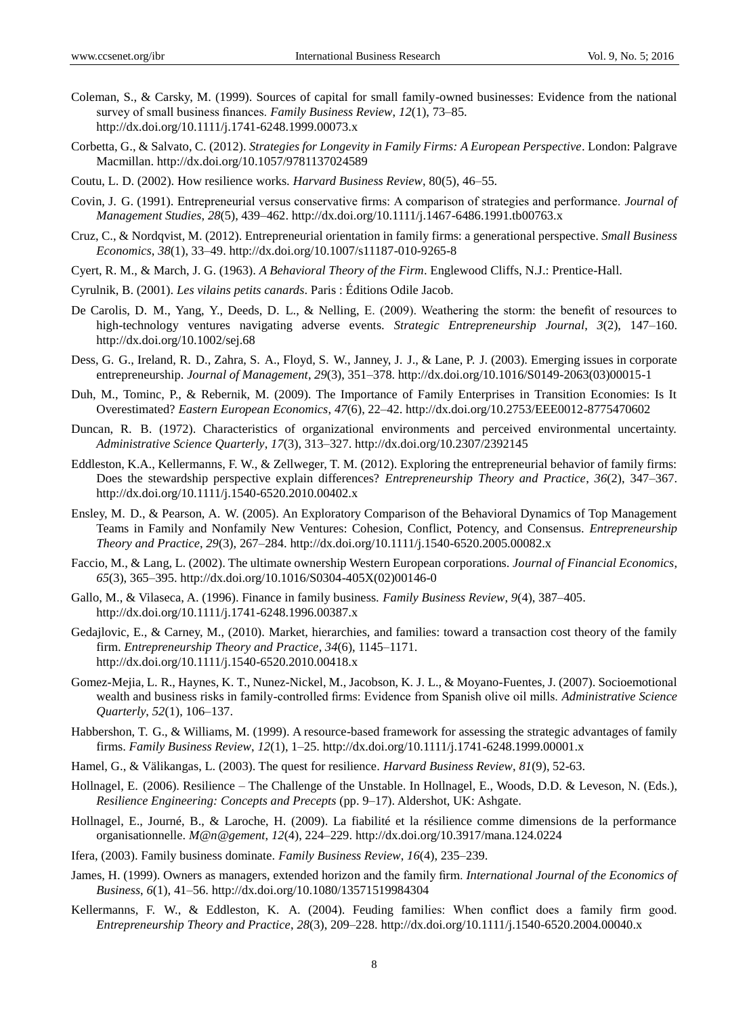- Coleman, S., & Carsky, M. (1999). Sources of capital for small family-owned businesses: Evidence from the national survey of small business finances. *Family Business Review*, *12*(1), 73–85. http://dx.doi.org/10.1111/j.1741-6248.1999.00073.x
- Corbetta, G., & Salvato, C. (2012). *Strategies for Longevity in Family Firms: A European Perspective*. London: Palgrave Macmillan. http://dx.doi.org/10.1057/9781137024589
- Coutu, L. D. (2002). How resilience works. *Harvard Business Review*, 80(5), 46–55.
- Covin, J. G. (1991). Entrepreneurial versus conservative firms: A comparison of strategies and performance. *Journal of Management Studies*, *28*(5), 439–462. http://dx.doi.org/10.1111/j.1467-6486.1991.tb00763.x
- Cruz, C., & Nordqvist, M. (2012). Entrepreneurial orientation in family firms: a generational perspective. *Small Business Economics*, *38*(1), 33–49. http://dx.doi.org/10.1007/s11187-010-9265-8
- Cyert, R. M., & March, J. G. (1963). *A Behavioral Theory of the Firm*. Englewood Cliffs, N.J.: Prentice-Hall.
- Cyrulnik, B. (2001). *Les vilains petits canards*. Paris : Éditions Odile Jacob.
- De Carolis, D. M., Yang, Y., Deeds, D. L., & Nelling, E. (2009). Weathering the storm: the benefit of resources to high-technology ventures navigating adverse events. *Strategic Entrepreneurship Journal*, *3*(2), 147–160. http://dx.doi.org/10.1002/sej.68
- Dess, G. G., Ireland, R. D., Zahra, S. A., Floyd, S. W., Janney, J. J., & Lane, P. J. (2003). Emerging issues in corporate entrepreneurship. *Journal of Management*, *29*(3), 351–378. http://dx.doi.org/10.1016/S0149-2063(03)00015-1
- Duh, M., Tominc, P., & Rebernik, M. (2009). The Importance of Family Enterprises in Transition Economies: Is It Overestimated? *Eastern European Economics*, *47*(6), 22–42. http://dx.doi.org/10.2753/EEE0012-8775470602
- Duncan, R. B. (1972). Characteristics of organizational environments and perceived environmental uncertainty. *Administrative Science Quarterly*, *17*(3), 313–327. http://dx.doi.org/10.2307/2392145
- Eddleston, K.A., Kellermanns, F. W., & Zellweger, T. M. (2012). Exploring the entrepreneurial behavior of family firms: Does the stewardship perspective explain differences? *Entrepreneurship Theory and Practice*, *36*(2), 347–367. <http://dx.doi.org/10.1111/j.1540-6520.2010.00402.x>
- Ensley, M. D., & Pearson, A. W. (2005). An Exploratory Comparison of the Behavioral Dynamics of Top Management Teams in Family and Nonfamily New Ventures: Cohesion, Conflict, Potency, and Consensus. *Entrepreneurship Theory and Practice*, *29*(3), 267–284[. http://dx.doi.org/10.1111/j.1540-6520.2005.00082.x](http://dx.doi.org/10.1111/j.1540-6520.2005.00082.x)
- Faccio, M., & Lang, L. (2002). The ultimate ownership Western European corporations. *Journal of Financial Economics*, *65*(3), 365–395. [http://dx.doi.org/10.1016/S0304-405X\(02\)00146-0](http://dx.doi.org/10.1016/S0304-405X(02)00146-0)
- Gallo, M., & Vilaseca, A. (1996). Finance in family business. *Family Business Review*, *9*(4), 387–405. <http://dx.doi.org/10.1111/j.1741-6248.1996.00387.x>
- Gedajlovic, E., & Carney, M., (2010). Market, hierarchies, and families: toward a transaction cost theory of the family firm. *Entrepreneurship Theory and Practice*, *34*(6), 1145–1171. <http://dx.doi.org/10.1111/j.1540-6520.2010.00418.x>
- Gomez-Mejia, L. R., Haynes, K. T., Nunez-Nickel, M., Jacobson, K. J. L., & Moyano-Fuentes, J. (2007). Socioemotional wealth and business risks in family-controlled firms: Evidence from Spanish olive oil mills. *Administrative Science Quarterly*, *52*(1), 106–137.
- Habbershon, T. G., & Williams, M. (1999). A resource-based framework for assessing the strategic advantages of family firms. *Family Business Review*, *12*(1), 1–25[. http://dx.doi.org/10.1111/j.1741-6248.1999.00001.x](http://dx.doi.org/10.1111/j.1741-6248.1999.00001.x)
- Hamel, G., & Välikangas, L. (2003). The quest for resilience. *Harvard Business Review*, *81*(9), 52-63.
- Hollnagel, E. (2006). Resilience The Challenge of the Unstable. In Hollnagel, E., Woods, D.D. & Leveson, N. (Eds.), *Resilience Engineering: Concepts and Precepts* (pp. 9–17). Aldershot, UK: Ashgate.
- Hollnagel, E., Journé, B., & Laroche, H. (2009). La fiabilité et la résilience comme dimensions de la performance organisationnelle. *M@n@gement*, *12*(4), 224–229[. http://dx.doi.org/10.3917/mana.124.0224](http://dx.doi.org/10.3917/mana.124.0224)
- Ifera, (2003). Family business dominate. *Family Business Review*, *16*(4), 235–239.
- James, H. (1999). Owners as managers, extended horizon and the family firm. *International Journal of the Economics of Business*, *6*(1), 41–56.<http://dx.doi.org/10.1080/13571519984304>
- Kellermanns, F. W., & Eddleston, K. A. (2004). Feuding families: When conflict does a family firm good. *Entrepreneurship Theory and Practice*, *28*(3), 209–228.<http://dx.doi.org/10.1111/j.1540-6520.2004.00040.x>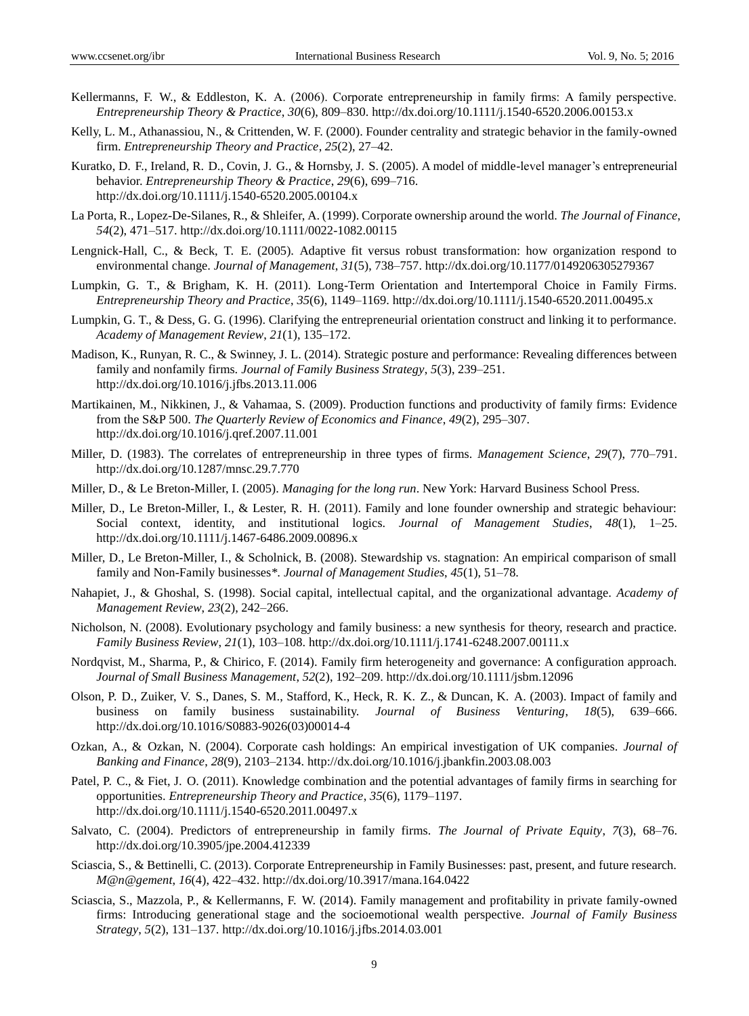- Kellermanns, F. W., & Eddleston, K. A. (2006). Corporate entrepreneurship in family firms: A family perspective. *Entrepreneurship Theory & Practice*, *30*(6), 809–830[. http://dx.doi.org/10.1111/j.1540-6520.2006.00153.x](http://dx.doi.org/10.1111/j.1540-6520.2006.00153.x)
- Kelly, L. M., Athanassiou, N., & Crittenden, W. F. (2000). Founder centrality and strategic behavior in the family-owned firm. *Entrepreneurship Theory and Practice*, *25*(2), 27–42.
- Kuratko, D. F., Ireland, R. D., Covin, J. G., & Hornsby, J. S. (2005). A model of middle-level manager's entrepreneurial behavior. *Entrepreneurship Theory & Practice*, *29*(6), 699–716. <http://dx.doi.org/10.1111/j.1540-6520.2005.00104.x>
- La Porta, R., Lopez-De-Silanes, R., & Shleifer, A. (1999). Corporate ownership around the world. *The Journal of Finance*, *54*(2), 471–517.<http://dx.doi.org/10.1111/0022-1082.00115>
- Lengnick-Hall, C., & Beck, T. E. (2005). Adaptive fit versus robust transformation: how organization respond to environmental change. *Journal of Management*, *31*(5), 738–757.<http://dx.doi.org/10.1177/0149206305279367>
- Lumpkin, G. T., & Brigham, K. H. (2011). Long-Term Orientation and Intertemporal Choice in Family Firms. *Entrepreneurship Theory and Practice*, *35*(6), 1149–1169.<http://dx.doi.org/10.1111/j.1540-6520.2011.00495.x>
- Lumpkin, G. T., & Dess, G. G. (1996). Clarifying the entrepreneurial orientation construct and linking it to performance. *Academy of Management Review*, *21*(1), 135–172.
- Madison, K., Runyan, R. C., & Swinney, J. L. (2014). Strategic posture and performance: Revealing differences between family and nonfamily firms. *Journal of Family Business Strategy*, *5*(3), 239–251. <http://dx.doi.org/10.1016/j.jfbs.2013.11.006>
- Martikainen, M., Nikkinen, J., & Vahamaa, S. (2009). Production functions and productivity of family firms: Evidence from the S&P 500. *The Quarterly Review of Economics and Finance*, *49*(2), 295–307. <http://dx.doi.org/10.1016/j.qref.2007.11.001>
- Miller, D. (1983). The correlates of entrepreneurship in three types of firms. *Management Science*, *29*(7), 770–791. <http://dx.doi.org/10.1287/mnsc.29.7.770>
- Miller, D., & Le Breton-Miller, I. (2005). *Managing for the long run*. New York: Harvard Business School Press.
- Miller, D., Le Breton-Miller, I., & Lester, R. H. (2011). Family and lone founder ownership and strategic behaviour: Social context, identity, and institutional logics. *Journal of Management Studies*, *48*(1), 1–25. <http://dx.doi.org/10.1111/j.1467-6486.2009.00896.x>
- Miller, D., Le Breton-Miller, I., & Scholnick, B. (2008). Stewardship vs. stagnation: An empirical comparison of small family and Non-Family businesses*\*. Journal of Management Studies*, *45*(1), 51–78.
- Nahapiet, J., & Ghoshal, S. (1998). Social capital, intellectual capital, and the organizational advantage. *Academy of Management Review*, *23*(2), 242–266.
- Nicholson, N. (2008). Evolutionary psychology and family business: a new synthesis for theory, research and practice. *Family Business Review*, *21*(1), 103–108[. http://dx.doi.org/10.1111/j.1741-6248.2007.00111.x](http://dx.doi.org/10.1111/j.1741-6248.2007.00111.x)
- Nordqvist, M., Sharma, P., & Chirico, F. (2014). Family firm heterogeneity and governance: A configuration approach. *Journal of Small Business Management*, *52*(2), 192–209.<http://dx.doi.org/10.1111/jsbm.12096>
- Olson, P. D., Zuiker, V. S., Danes, S. M., Stafford, K., Heck, R. K. Z., & Duncan, K. A. (2003). Impact of family and business on family business sustainability. *Journal of Business Venturing*, *18*(5), 639–666. [http://dx.doi.org/10.1016/S0883-9026\(03\)00014-4](http://dx.doi.org/10.1016/S0883-9026(03)00014-4)
- Ozkan, A., & Ozkan, N. (2004). Corporate cash holdings: An empirical investigation of UK companies. *Journal of Banking and Finance*, *28*(9), 2103–2134[. http://dx.doi.org/10.1016/j.jbankfin.2003.08.003](http://dx.doi.org/10.1016/j.jbankfin.2003.08.003)
- Patel, P. C., & Fiet, J. O. (2011). Knowledge combination and the potential advantages of family firms in searching for opportunities. *Entrepreneurship Theory and Practice*, *35*(6), 1179–1197. <http://dx.doi.org/10.1111/j.1540-6520.2011.00497.x>
- Salvato, C. (2004). Predictors of entrepreneurship in family firms. *The Journal of Private Equity*, *7*(3), 68–76. <http://dx.doi.org/10.3905/jpe.2004.412339>
- Sciascia, S., & Bettinelli, C. (2013). Corporate Entrepreneurship in Family Businesses: past, present, and future research. *M@n@gement*, *16*(4), 422–432.<http://dx.doi.org/10.3917/mana.164.0422>
- Sciascia, S., Mazzola, P., & Kellermanns, F. W. (2014). Family management and profitability in private family-owned firms: Introducing generational stage and the socioemotional wealth perspective. *Journal of Family Business Strategy*, *5*(2), 131–137[. http://dx.doi.org/10.1016/j.jfbs.2014.03.001](http://dx.doi.org/10.1016/j.jfbs.2014.03.001)